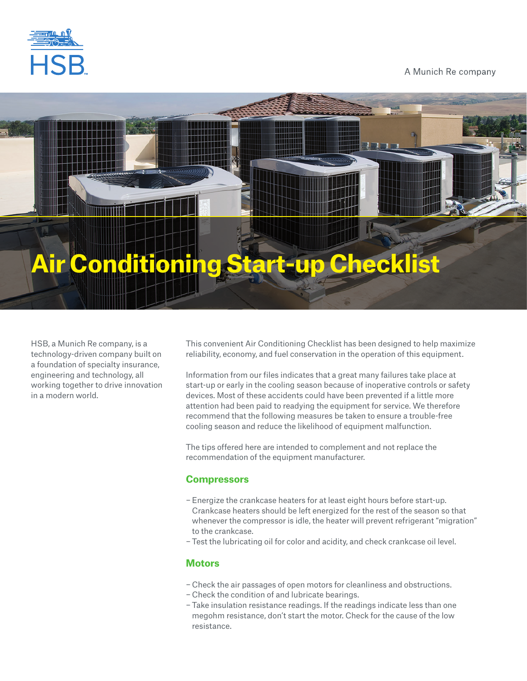

# A Munich Re company

# **Conditioning Start-up Checklist**

HSB, a Munich Re company, is a technology-driven company built on a foundation of specialty insurance, engineering and technology, all working together to drive innovation in a modern world.

This convenient Air Conditioning Checklist has been designed to help maximize reliability, economy, and fuel conservation in the operation of this equipment.

Information from our files indicates that a great many failures take place at start-up or early in the cooling season because of inoperative controls or safety devices. Most of these accidents could have been prevented if a little more attention had been paid to readying the equipment for service. We therefore recommend that the following measures be taken to ensure a trouble-free cooling season and reduce the likelihood of equipment malfunction.

The tips offered here are intended to complement and not replace the recommendation of the equipment manufacturer.

# **Compressors**

- − Energize the crankcase heaters for at least eight hours before start-up. Crankcase heaters should be left energized for the rest of the season so that whenever the compressor is idle, the heater will prevent refrigerant "migration" to the crankcase.
- − Test the lubricating oil for color and acidity, and check crankcase oil level.

## **Motors**

- − Check the air passages of open motors for cleanliness and obstructions.
- − Check the condition of and lubricate bearings.
- − Take insulation resistance readings. If the readings indicate less than one megohm resistance, don't start the motor. Check for the cause of the low resistance.